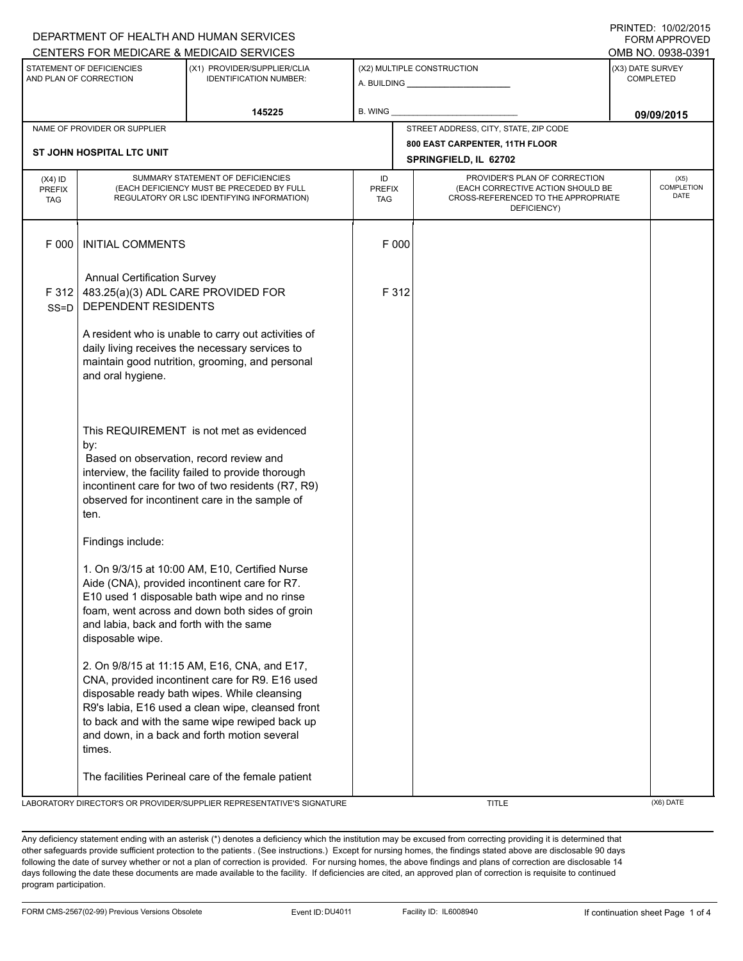|                                                     | CENTERS FOR MEDICARE & MEDICAID SERVICES<br>OMB NO. 0938-0391                                   |                                                                                                                                                                                                                                                                                                        |                                   |       |                                                                                                                          |                               |                                          |  |
|-----------------------------------------------------|-------------------------------------------------------------------------------------------------|--------------------------------------------------------------------------------------------------------------------------------------------------------------------------------------------------------------------------------------------------------------------------------------------------------|-----------------------------------|-------|--------------------------------------------------------------------------------------------------------------------------|-------------------------------|------------------------------------------|--|
| STATEMENT OF DEFICIENCIES<br>AND PLAN OF CORRECTION |                                                                                                 | (X1) PROVIDER/SUPPLIER/CLIA<br><b>IDENTIFICATION NUMBER:</b>                                                                                                                                                                                                                                           | (X2) MULTIPLE CONSTRUCTION        |       |                                                                                                                          | (X3) DATE SURVEY<br>COMPLETED |                                          |  |
| 145225                                              |                                                                                                 |                                                                                                                                                                                                                                                                                                        | B. WING                           |       |                                                                                                                          | 09/09/2015                    |                                          |  |
| NAME OF PROVIDER OR SUPPLIER                        |                                                                                                 |                                                                                                                                                                                                                                                                                                        |                                   |       | STREET ADDRESS, CITY, STATE, ZIP CODE                                                                                    |                               |                                          |  |
| ST JOHN HOSPITAL LTC UNIT                           |                                                                                                 |                                                                                                                                                                                                                                                                                                        |                                   |       | 800 EAST CARPENTER, 11TH FLOOR<br>SPRINGFIELD, IL 62702                                                                  |                               |                                          |  |
| $(X4)$ ID<br><b>PREFIX</b><br><b>TAG</b>            |                                                                                                 | SUMMARY STATEMENT OF DEFICIENCIES<br>(EACH DEFICIENCY MUST BE PRECEDED BY FULL<br>REGULATORY OR LSC IDENTIFYING INFORMATION)                                                                                                                                                                           | ID<br><b>PREFIX</b><br><b>TAG</b> |       | PROVIDER'S PLAN OF CORRECTION<br>(EACH CORRECTIVE ACTION SHOULD BE<br>CROSS-REFERENCED TO THE APPROPRIATE<br>DEFICIENCY) |                               | (X5)<br><b>COMPLETION</b><br><b>DATE</b> |  |
| F 000                                               | <b>INITIAL COMMENTS</b>                                                                         |                                                                                                                                                                                                                                                                                                        |                                   | F 000 |                                                                                                                          |                               |                                          |  |
| F 312<br>$SS = D$                                   | <b>Annual Certification Survey</b><br>483.25(a)(3) ADL CARE PROVIDED FOR<br>DEPENDENT RESIDENTS |                                                                                                                                                                                                                                                                                                        |                                   | F 312 |                                                                                                                          |                               |                                          |  |
|                                                     | and oral hygiene.                                                                               | A resident who is unable to carry out activities of<br>daily living receives the necessary services to<br>maintain good nutrition, grooming, and personal                                                                                                                                              |                                   |       |                                                                                                                          |                               |                                          |  |
|                                                     | by:<br>Based on observation, record review and<br>ten.                                          | This REQUIREMENT is not met as evidenced<br>interview, the facility failed to provide thorough<br>incontinent care for two of two residents (R7, R9)<br>observed for incontinent care in the sample of                                                                                                 |                                   |       |                                                                                                                          |                               |                                          |  |
|                                                     | Findings include:                                                                               |                                                                                                                                                                                                                                                                                                        |                                   |       |                                                                                                                          |                               |                                          |  |
|                                                     | and labia, back and forth with the same<br>disposable wipe.                                     | 1. On 9/3/15 at 10:00 AM, E10, Certified Nurse<br>Aide (CNA), provided incontinent care for R7.<br>E10 used 1 disposable bath wipe and no rinse<br>foam, went across and down both sides of groin                                                                                                      |                                   |       |                                                                                                                          |                               |                                          |  |
|                                                     | times.                                                                                          | 2. On 9/8/15 at 11:15 AM, E16, CNA, and E17,<br>CNA, provided incontinent care for R9. E16 used<br>disposable ready bath wipes. While cleansing<br>R9's labia, E16 used a clean wipe, cleansed front<br>to back and with the same wipe rewiped back up<br>and down, in a back and forth motion several |                                   |       |                                                                                                                          |                               |                                          |  |
|                                                     |                                                                                                 | The facilities Perineal care of the female patient<br>LABORATORY DIRECTOR'S OR PROVIDER/SUPPLIER REPRESENTATIVE'S SIGNATURE                                                                                                                                                                            |                                   |       | <b>TITLE</b>                                                                                                             |                               | (X6) DATE                                |  |

DEPARTMENT OF HEALTH AND HUMAN SERVICES

Any deficiency statement ending with an asterisk (\*) denotes a deficiency which the institution may be excused from correcting providing it is determined that other safeguards provide sufficient protection to the patients . (See instructions.) Except for nursing homes, the findings stated above are disclosable 90 days following the date of survey whether or not a plan of correction is provided. For nursing homes, the above findings and plans of correction are disclosable 14 days following the date these documents are made available to the facility. If deficiencies are cited, an approved plan of correction is requisite to continued program participation.

## PRINTED: 10/02/2015 FORM APPROVED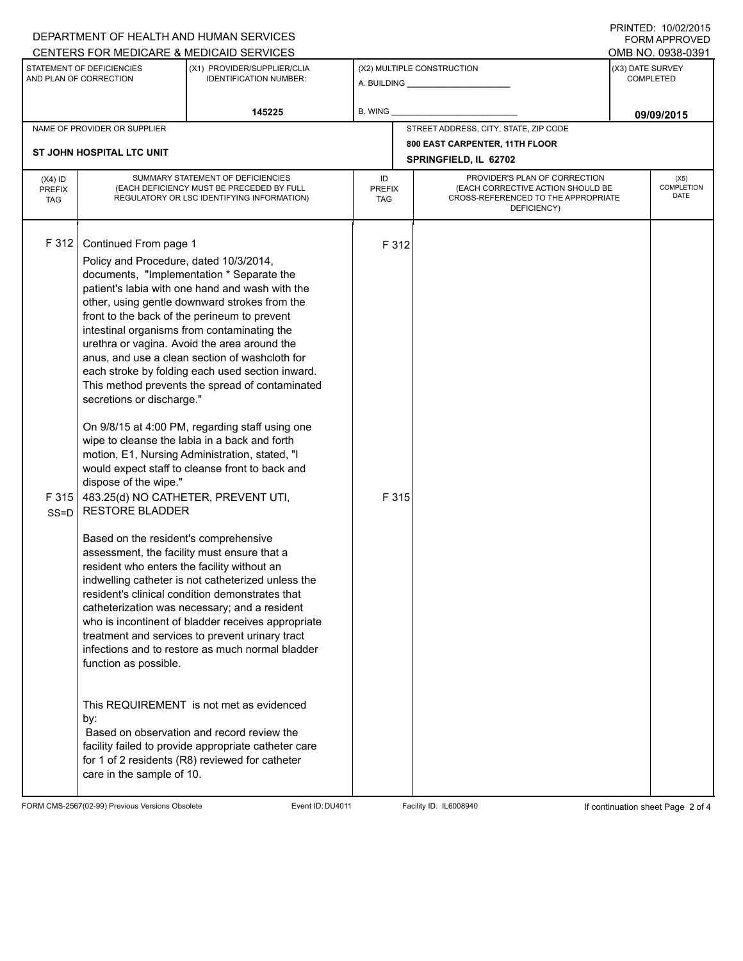|                               |                                                                                                                                                                                                                                                                                                                                                                                                                                                                                                                                                                                                                                                                                                                                                                                                                                                                                                                                                                                                                                                                                                                                                                                                                                                                                                                                                                                                                                                                                                                                                                                                                                                                                                                                                                                                                                         |  |                                                                                        | $1 \times 1 \times 1 = 1$ . $1 \times 1 \times 1 = 1$<br>FORM APPROVED                                                                                                                              |  |
|-------------------------------|-----------------------------------------------------------------------------------------------------------------------------------------------------------------------------------------------------------------------------------------------------------------------------------------------------------------------------------------------------------------------------------------------------------------------------------------------------------------------------------------------------------------------------------------------------------------------------------------------------------------------------------------------------------------------------------------------------------------------------------------------------------------------------------------------------------------------------------------------------------------------------------------------------------------------------------------------------------------------------------------------------------------------------------------------------------------------------------------------------------------------------------------------------------------------------------------------------------------------------------------------------------------------------------------------------------------------------------------------------------------------------------------------------------------------------------------------------------------------------------------------------------------------------------------------------------------------------------------------------------------------------------------------------------------------------------------------------------------------------------------------------------------------------------------------------------------------------------------|--|----------------------------------------------------------------------------------------|-----------------------------------------------------------------------------------------------------------------------------------------------------------------------------------------------------|--|
|                               |                                                                                                                                                                                                                                                                                                                                                                                                                                                                                                                                                                                                                                                                                                                                                                                                                                                                                                                                                                                                                                                                                                                                                                                                                                                                                                                                                                                                                                                                                                                                                                                                                                                                                                                                                                                                                                         |  |                                                                                        | OMB NO. 0938-0391                                                                                                                                                                                   |  |
| <b>IDENTIFICATION NUMBER:</b> |                                                                                                                                                                                                                                                                                                                                                                                                                                                                                                                                                                                                                                                                                                                                                                                                                                                                                                                                                                                                                                                                                                                                                                                                                                                                                                                                                                                                                                                                                                                                                                                                                                                                                                                                                                                                                                         |  |                                                                                        | (X3) DATE SURVEY<br><b>COMPLETED</b>                                                                                                                                                                |  |
| 145225                        | B. WING                                                                                                                                                                                                                                                                                                                                                                                                                                                                                                                                                                                                                                                                                                                                                                                                                                                                                                                                                                                                                                                                                                                                                                                                                                                                                                                                                                                                                                                                                                                                                                                                                                                                                                                                                                                                                                 |  |                                                                                        | 09/09/2015                                                                                                                                                                                          |  |
| NAME OF PROVIDER OR SUPPLIER  |                                                                                                                                                                                                                                                                                                                                                                                                                                                                                                                                                                                                                                                                                                                                                                                                                                                                                                                                                                                                                                                                                                                                                                                                                                                                                                                                                                                                                                                                                                                                                                                                                                                                                                                                                                                                                                         |  |                                                                                        |                                                                                                                                                                                                     |  |
|                               |                                                                                                                                                                                                                                                                                                                                                                                                                                                                                                                                                                                                                                                                                                                                                                                                                                                                                                                                                                                                                                                                                                                                                                                                                                                                                                                                                                                                                                                                                                                                                                                                                                                                                                                                                                                                                                         |  |                                                                                        |                                                                                                                                                                                                     |  |
|                               | ID<br>TAG                                                                                                                                                                                                                                                                                                                                                                                                                                                                                                                                                                                                                                                                                                                                                                                                                                                                                                                                                                                                                                                                                                                                                                                                                                                                                                                                                                                                                                                                                                                                                                                                                                                                                                                                                                                                                               |  |                                                                                        | (X5)<br><b>COMPLETION</b><br>DATE                                                                                                                                                                   |  |
|                               |                                                                                                                                                                                                                                                                                                                                                                                                                                                                                                                                                                                                                                                                                                                                                                                                                                                                                                                                                                                                                                                                                                                                                                                                                                                                                                                                                                                                                                                                                                                                                                                                                                                                                                                                                                                                                                         |  |                                                                                        |                                                                                                                                                                                                     |  |
|                               | DEPARTMENT OF HEALTH AND HUMAN SERVICES<br>CENTERS FOR MEDICARE & MEDICAID SERVICES<br>(X1) PROVIDER/SUPPLIER/CLIA<br>SUMMARY STATEMENT OF DEFICIENCIES<br>(EACH DEFICIENCY MUST BE PRECEDED BY FULL<br>REGULATORY OR LSC IDENTIFYING INFORMATION)<br>Continued From page 1<br>Policy and Procedure, dated 10/3/2014,<br>documents, "Implementation * Separate the<br>patient's labia with one hand and wash with the<br>other, using gentle downward strokes from the<br>front to the back of the perineum to prevent<br>intestinal organisms from contaminating the<br>urethra or vagina. Avoid the area around the<br>anus, and use a clean section of washcloth for<br>each stroke by folding each used section inward.<br>This method prevents the spread of contaminated<br>secretions or discharge."<br>On 9/8/15 at 4:00 PM, regarding staff using one<br>wipe to cleanse the labia in a back and forth<br>motion, E1, Nursing Administration, stated, "I<br>would expect staff to cleanse front to back and<br>dispose of the wipe."<br>483.25(d) NO CATHETER, PREVENT UTI,<br><b>RESTORE BLADDER</b><br>Based on the resident's comprehensive<br>assessment, the facility must ensure that a<br>resident who enters the facility without an<br>indwelling catheter is not catheterized unless the<br>resident's clinical condition demonstrates that<br>catheterization was necessary; and a resident<br>who is incontinent of bladder receives appropriate<br>treatment and services to prevent urinary tract<br>infections and to restore as much normal bladder<br>function as possible.<br>This REQUIREMENT is not met as evidenced<br>Based on observation and record review the<br>facility failed to provide appropriate catheter care<br>for 1 of 2 residents (R8) reviewed for catheter<br>care in the sample of 10. |  | (X2) MULTIPLE CONSTRUCTION<br>SPRINGFIELD, IL 62702<br><b>PREFIX</b><br>F 312<br>F 315 | STREET ADDRESS, CITY, STATE, ZIP CODE<br>800 EAST CARPENTER, 11TH FLOOR<br>PROVIDER'S PLAN OF CORRECTION<br>(EACH CORRECTIVE ACTION SHOULD BE<br>CROSS-REFERENCED TO THE APPROPRIATE<br>DEFICIENCY) |  |

FORM CMS-2567(02-99) Previous Versions Obsolete Event ID:DU4011 Facility ID: IL6008940 If continuation sheet Page 2 of 4

PRINTED: 10/02/2015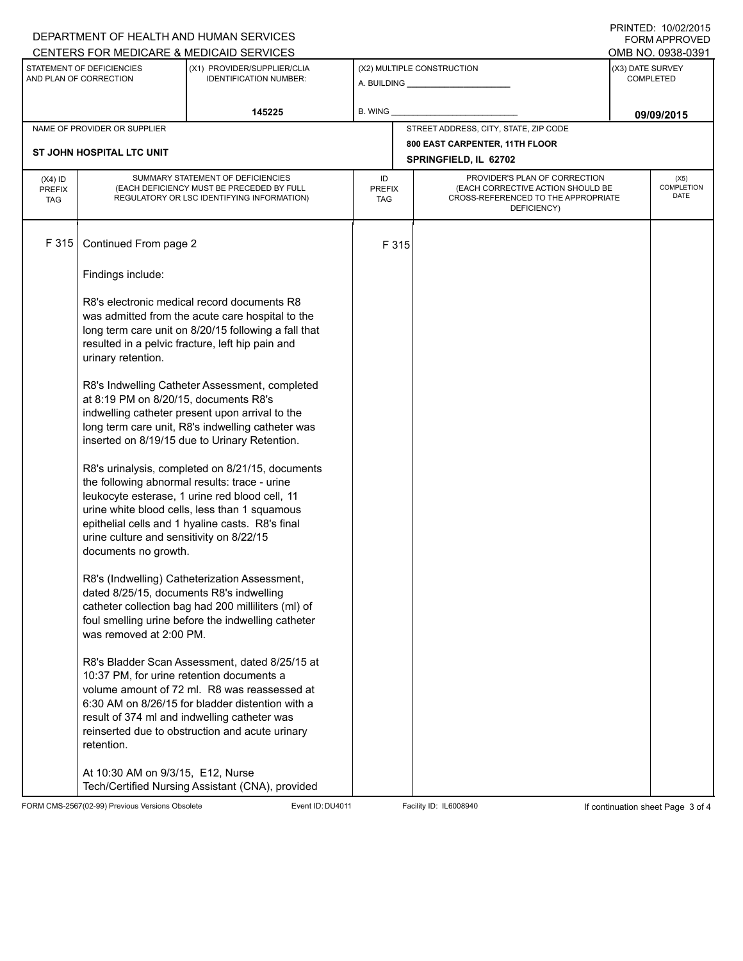| DEPARTMENT OF HEALTH AND HUMAN SERVICES<br>CENTERS FOR MEDICARE & MEDICAID SERVICES |                                                                     |                                                                                                                                                                                                                                                          |                            |                                                                                                                          |                  | <b>FORM APPROVED</b>              |
|-------------------------------------------------------------------------------------|---------------------------------------------------------------------|----------------------------------------------------------------------------------------------------------------------------------------------------------------------------------------------------------------------------------------------------------|----------------------------|--------------------------------------------------------------------------------------------------------------------------|------------------|-----------------------------------|
|                                                                                     |                                                                     |                                                                                                                                                                                                                                                          |                            |                                                                                                                          |                  | OMB NO. 0938-0391                 |
|                                                                                     | STATEMENT OF DEFICIENCIES<br>AND PLAN OF CORRECTION                 | (X1) PROVIDER/SUPPLIER/CLIA<br><b>IDENTIFICATION NUMBER:</b>                                                                                                                                                                                             |                            | (X2) MULTIPLE CONSTRUCTION                                                                                               | (X3) DATE SURVEY | <b>COMPLETED</b>                  |
|                                                                                     |                                                                     | 145225                                                                                                                                                                                                                                                   | <b>B. WING</b>             |                                                                                                                          |                  | 09/09/2015                        |
|                                                                                     | NAME OF PROVIDER OR SUPPLIER                                        |                                                                                                                                                                                                                                                          |                            | STREET ADDRESS, CITY, STATE, ZIP CODE                                                                                    |                  |                                   |
|                                                                                     | ST JOHN HOSPITAL LTC UNIT                                           |                                                                                                                                                                                                                                                          |                            | 800 EAST CARPENTER, 11TH FLOOR                                                                                           |                  |                                   |
|                                                                                     |                                                                     |                                                                                                                                                                                                                                                          |                            | SPRINGFIELD, IL 62702                                                                                                    |                  |                                   |
| $(X4)$ ID<br><b>PREFIX</b><br><b>TAG</b>                                            |                                                                     | SUMMARY STATEMENT OF DEFICIENCIES<br>(EACH DEFICIENCY MUST BE PRECEDED BY FULL<br>REGULATORY OR LSC IDENTIFYING INFORMATION)                                                                                                                             | ID<br><b>PREFIX</b><br>TAG | PROVIDER'S PLAN OF CORRECTION<br>(EACH CORRECTIVE ACTION SHOULD BE<br>CROSS-REFERENCED TO THE APPROPRIATE<br>DEFICIENCY) |                  | (X5)<br><b>COMPLETION</b><br>DATE |
| F 315                                                                               | Continued From page 2                                               |                                                                                                                                                                                                                                                          | F 315                      |                                                                                                                          |                  |                                   |
|                                                                                     | Findings include:                                                   |                                                                                                                                                                                                                                                          |                            |                                                                                                                          |                  |                                   |
|                                                                                     | urinary retention.                                                  | R8's electronic medical record documents R8<br>was admitted from the acute care hospital to the<br>long term care unit on 8/20/15 following a fall that<br>resulted in a pelvic fracture, left hip pain and                                              |                            |                                                                                                                          |                  |                                   |
|                                                                                     | at 8:19 PM on 8/20/15, documents R8's                               | R8's Indwelling Catheter Assessment, completed<br>indwelling catheter present upon arrival to the<br>long term care unit, R8's indwelling catheter was<br>inserted on 8/19/15 due to Urinary Retention.                                                  |                            |                                                                                                                          |                  |                                   |
|                                                                                     | urine culture and sensitivity on 8/22/15<br>documents no growth.    | R8's urinalysis, completed on 8/21/15, documents<br>the following abnormal results: trace - urine<br>leukocyte esterase, 1 urine red blood cell, 11<br>urine white blood cells, less than 1 squamous<br>epithelial cells and 1 hyaline casts. R8's final |                            |                                                                                                                          |                  |                                   |
|                                                                                     | dated 8/25/15, documents R8's indwelling<br>was removed at 2:00 PM. | R8's (Indwelling) Catheterization Assessment,<br>catheter collection bag had 200 milliliters (ml) of<br>foul smelling urine before the indwelling catheter                                                                                               |                            |                                                                                                                          |                  |                                   |
|                                                                                     | 10:37 PM, for urine retention documents a<br>retention.             | R8's Bladder Scan Assessment, dated 8/25/15 at<br>volume amount of 72 ml. R8 was reassessed at<br>6:30 AM on 8/26/15 for bladder distention with a<br>result of 374 ml and indwelling catheter was<br>reinserted due to obstruction and acute urinary    |                            |                                                                                                                          |                  |                                   |
|                                                                                     | At 10:30 AM on 9/3/15, E12, Nurse                                   | Tech/Certified Nursing Assistant (CNA), provided                                                                                                                                                                                                         |                            |                                                                                                                          |                  |                                   |

FORM CMS-2567(02-99) Previous Versions Obsolete Event ID:DU4011 Facility ID: IL6008940 If continuation sheet Page 3 of 4

PRINTED: 10/02/2015